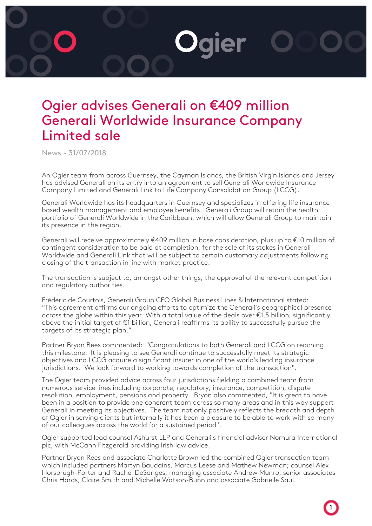## Ogier advises Generali on €409 million Generali Worldwide Insurance Company Limited sale

News - 31/07/2018

An Ogier team from across Guernsey, the Cayman Islands, the British Virgin Islands and Jersey has advised Generali on its entry into an agreement to sell Generali Worldwide Insurance Company Limited and Generali Link to Life Company Consolidation Group (LCCG).

**Ogier** 

Generali Worldwide has its headquarters in Guernsey and specializes in offering life insurance based wealth management and employee benefits. Generali Group will retain the health portfolio of Generali Worldwide in the Caribbean, which will allow Generali Group to maintain its presence in the region.

Generali will receive approximately €409 million in base consideration, plus up to €10 million of contingent consideration to be paid at completion, for the sale of its stakes in Generali Worldwide and Generali Link that will be subject to certain customary adjustments following closing of the transaction in line with market practice.

The transaction is subject to, amongst other things, the approval of the relevant competition and regulatory authorities.

Frédéric de Courtois, Generali Group CEO Global Business Lines & International stated: "This agreement affirms our ongoing efforts to optimize the Generali's geographical presence across the globe within this year. With a total value of the deals over €1.5 billion, significantly above the initial target of €1 billion, Generali reaffirms its ability to successfully pursue the targets of its strategic plan."

Partner Bryon Rees commented: "Congratulations to both Generali and LCCG on reaching this milestone. It is pleasing to see Generali continue to successfully meet its strategic objectives and LCCG acquire a significant insurer in one of the world's leading insurance jurisdictions. We look forward to working towards completion of the transaction".

The Ogier team provided advice across four jurisdictions fielding a combined team from numerous service lines including corporate, regulatory, insurance, competition, dispute resolution, employment, pensions and property. Bryon also commented, "It is great to have been in a position to provide one coherent team across so many areas and in this way support Generali in meeting its objectives. The team not only positively reflects the breadth and depth of Ogier in serving clients but internally it has been a pleasure to be able to work with so many of our colleagues across the world for a sustained period".

Ogier supported lead counsel Ashurst LLP and Generali's financial adviser Nomura International plc, with McCann Fitzgerald providing Irish law advice.

Partner Bryon Rees and associate Charlotte Brown led the combined Ogier transaction team which included partners Martyn Baudains, Marcus Leese and Mathew Newman; counsel Alex Horsbrugh-Porter and Rachel DeSanges; managing associate Andrew Munro; senior associates Chris Hards, Claire Smith and Michelle Watson-Bunn and associate Gabrielle Saul.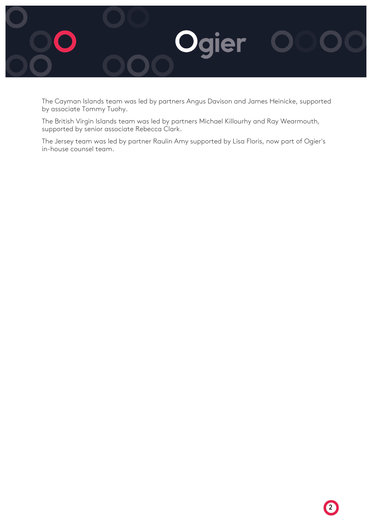

The Cayman Islands team was led by partners Angus Davison and James Heinicke, supported by associate Tommy Tuohy.

The British Virgin Islands team was led by partners Michael Killourhy and Ray Wearmouth, supported by senior associate Rebecca Clark.

The Jersey team was led by partner Raulin Amy supported by Lisa Floris, now part of Ogier's in-house counsel team.

2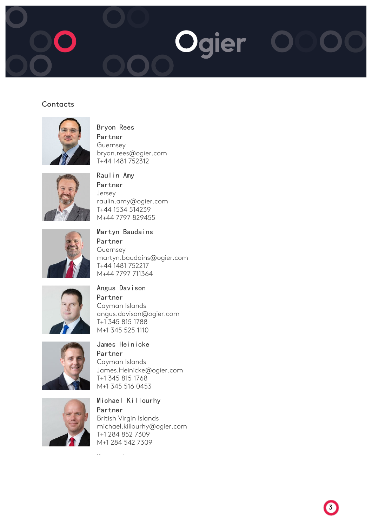

#### **Contacts**



[Bryon Rees](https://www.ogier.com/people/bryon-rees) Partner Guernsey [bryon.rees@ogier.com](mailto:bryon.rees@ogier.com) [T+44 1481 752312](tel:+44 1481 752312)



[Raulin Amy](https://www.ogier.com/people/raulin-amy) Partner Jersey [raulin.amy@ogier.com](mailto:raulin.amy@ogier.com) [T+44 1534 514239](tel:+44 1534 514239) [M+44 7797 829455](tel:+44 7797 829455)



[Martyn Baudains](https://www.ogier.com/people/martyn-baudains) Partner Guernsey [martyn.baudains@ogier.com](mailto:martyn.baudains@ogier.com) [T+44 1481 752217](tel:+44 1481 752217) [M+44 7797 711364](tel:+44 7797 711364)



[Angus Davison](https://www.ogier.com/people/angus-davison) Partner Cayman Islands [angus.davison@ogier.com](mailto:angus.davison@ogier.com) [T+1 345 815 1788](tel:+1 345 815 1788) [M+1 345 525 1110](tel:+1 345 525 1110)



[James Heinicke](https://www.ogier.com/people/james-heinicke) Partner Cayman Islands [James.Heinicke@ogier.com](mailto:James.Heinicke@ogier.com) [T+1 345 815 1768](tel:+1 345 815 1768)

[M+1 345 516 0453](tel:+1 345 516 0453)



[Michael Killourhy](https://www.ogier.com/people/michael-killourhy) Partner British Virgin Islands [michael.killourhy@ogier.com](mailto:michael.killourhy@ogier.com) [T+1 284 852 7309](tel:+1 284 852 7309) [M+1 284 542 7309](tel:+1 284 542 7309)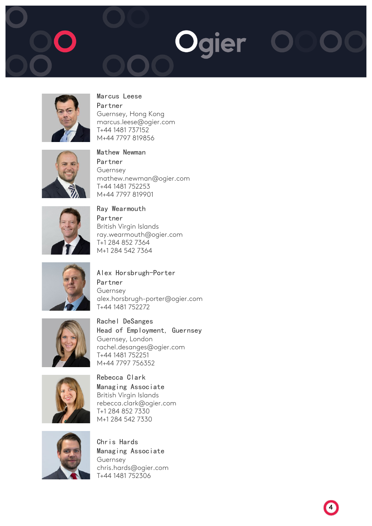## **Ogier**



[Marcus Leese](https://www.ogier.com/people/marcus-leese) Partner Guernsey, Hong Kong [marcus.leese@ogier.com](mailto:marcus.leese@ogier.com) [T+44 1481 737152](tel:+44 1481 737152) [M+44 7797 819856](tel:+44 7797 819856)



[Mathew Newman](https://www.ogier.com/people/mathew-newman) Partner Guernsey [mathew.newman@ogier.com](mailto:mathew.newman@ogier.com) [T+44 1481 752253](tel:+44 1481 752253) [M+44 7797 819901](tel:+44 7797 819901)



[Ray Wearmouth](https://www.ogier.com/people/ray-wearmouth) Partner British Virgin Islands [ray.wearmouth@ogier.com](mailto:ray.wearmouth@ogier.com) [T+1 284 852 7364](tel:+1 284 852 7364) [M+1 284 542 7364](tel:+1 284 542 7364)



[Alex Horsbrugh-Porter](https://www.ogier.com/people/alex-horsbrugh-porter) Partner Guernsey [alex.horsbrugh-porter@ogier.com](mailto:alex.horsbrugh-porter@ogier.com) [T+44 1481 752272](tel:+44 1481 752272)



[Rachel DeSanges](https://www.ogier.com/people/rachel-desanges) Head of Employment, Guernsey Guernsey, London [rachel.desanges@ogier.com](mailto:rachel.desanges@ogier.com) [T+44 1481 752251](tel:+44 1481 752251) [M+44 7797 756352](tel:+44 7797 756352)



[Rebecca Clark](https://www.ogier.com/people/rebecca-clark) Managing Associate British Virgin Islands [rebecca.clark@ogier.com](mailto:rebecca.clark@ogier.com) [T+1 284 852 7330](tel:+1 284 852 7330) [M+1 284 542 7330](tel:+1 284 542 7330)



[Chris Hards](https://www.ogier.com/people/chris-hards) Managing Associate Guernsey [chris.hards@ogier.com](mailto:chris.hards@ogier.com) [T+44 1481 752306](tel:+44 1481 752306)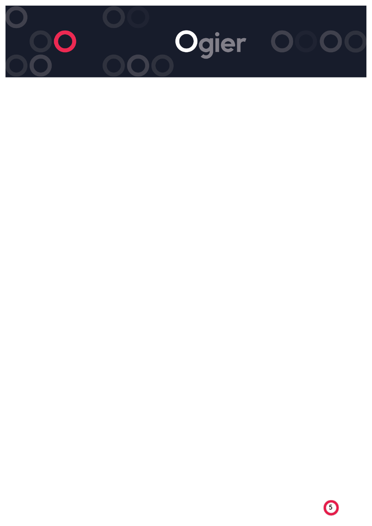